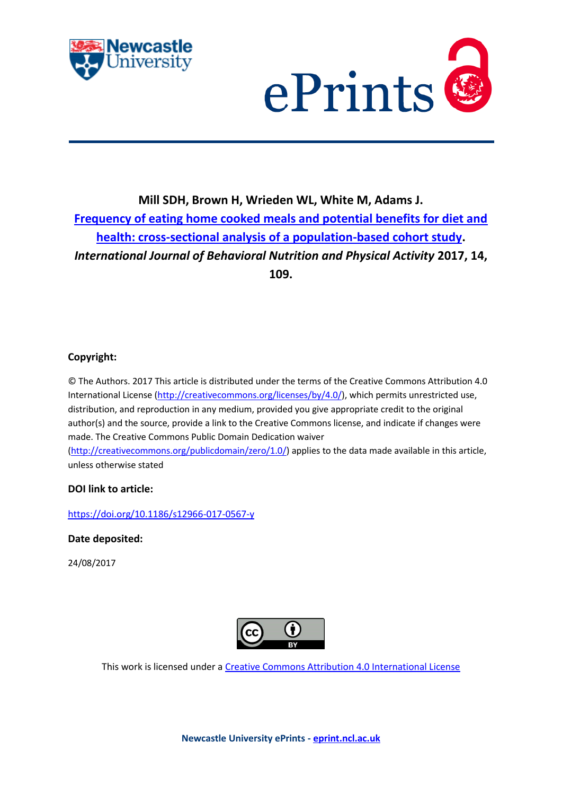



# **Mill SDH, Brown H, Wrieden WL, White M, Adams J. [Frequency of eating home cooked meals and potential benefits for diet and](https://myimpact.ncl.ac.uk/ViewPublication.aspx?id=240455)  [health: cross-sectional analysis of a population-based cohort study.](https://myimpact.ncl.ac.uk/ViewPublication.aspx?id=240455)**  *International Journal of Behavioral Nutrition and Physical Activity* **2017, 14, 109.**

## **Copyright:**

© The Authors. 2017 This article is distributed under the terms of the Creative Commons Attribution 4.0 International License [\(http://creativecommons.org/licenses/by/4.0/\)](http://creativecommons.org/licenses/by/4.0/), which permits unrestricted use, distribution, and reproduction in any medium, provided you give appropriate credit to the original author(s) and the source, provide a link to the Creative Commons license, and indicate if changes were made. The Creative Commons Public Domain Dedication waiver [\(http://creativecommons.org/publicdomain/zero/1.0/\)](http://creativecommons.org/publicdomain/zero/1.0/) applies to the data made available in this article, unless otherwise stated

## **DOI link to article:**

<https://doi.org/10.1186/s12966-017-0567-y>

**Date deposited:** 

24/08/2017



This work is licensed under [a Creative Commons Attribution 4.0 International License](http://creativecommons.org/licenses/by/4.0/)

**Newcastle University ePrints - [eprint.ncl.ac.uk](http://eprint.ncl.ac.uk/)**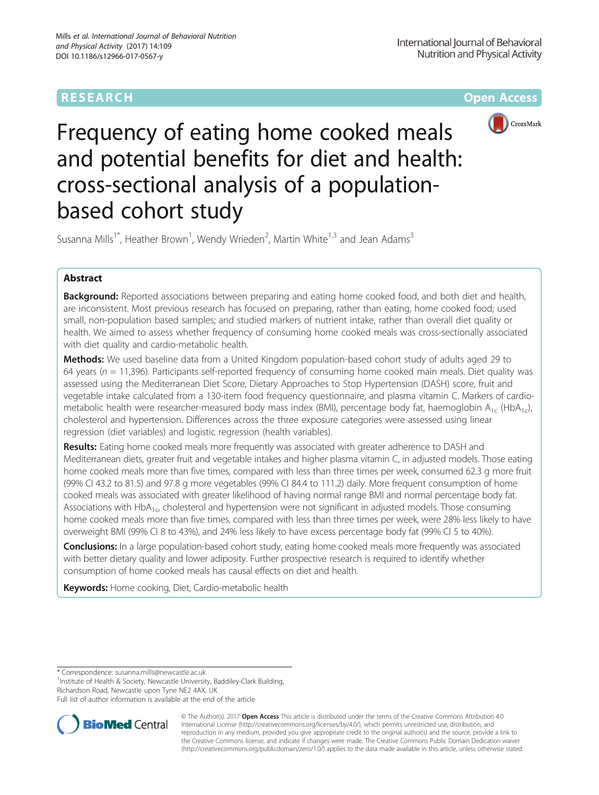## **RESEARCH CHE Open Access**



Frequency of eating home cooked meals and potential benefits for diet and health: cross-sectional analysis of a populationbased cohort study

Susanna Mills<sup>1\*</sup>, Heather Brown<sup>1</sup>, Wendy Wrieden<sup>2</sup>, Martin White<sup>1,3</sup> and Jean Adams<sup>3</sup>

## Abstract

Background: Reported associations between preparing and eating home cooked food, and both diet and health, are inconsistent. Most previous research has focused on preparing, rather than eating, home cooked food; used small, non-population based samples; and studied markers of nutrient intake, rather than overall diet quality or health. We aimed to assess whether frequency of consuming home cooked meals was cross-sectionally associated with diet quality and cardio-metabolic health.

Methods: We used baseline data from a United Kingdom population-based cohort study of adults aged 29 to 64 years ( $n = 11,396$ ). Participants self-reported frequency of consuming home cooked main meals. Diet quality was assessed using the Mediterranean Diet Score, Dietary Approaches to Stop Hypertension (DASH) score, fruit and vegetable intake calculated from a 130-item food frequency questionnaire, and plasma vitamin C. Markers of cardiometabolic health were researcher-measured body mass index (BMI), percentage body fat, haemoglobin A<sub>1c</sub> (HbA<sub>1c</sub>), cholesterol and hypertension. Differences across the three exposure categories were assessed using linear regression (diet variables) and logistic regression (health variables).

Results: Eating home cooked meals more frequently was associated with greater adherence to DASH and Mediterranean diets, greater fruit and vegetable intakes and higher plasma vitamin C, in adjusted models. Those eating home cooked meals more than five times, compared with less than three times per week, consumed 62.3 g more fruit (99% CI 43.2 to 81.5) and 97.8 g more vegetables (99% CI 84.4 to 111.2) daily. More frequent consumption of home cooked meals was associated with greater likelihood of having normal range BMI and normal percentage body fat. Associations with  $HbA<sub>1c</sub>$ , cholesterol and hypertension were not significant in adjusted models. Those consuming home cooked meals more than five times, compared with less than three times per week, were 28% less likely to have overweight BMI (99% CI 8 to 43%), and 24% less likely to have excess percentage body fat (99% CI 5 to 40%).

**Conclusions:** In a large population-based cohort study, eating home cooked meals more frequently was associated with better dietary quality and lower adiposity. Further prospective research is required to identify whether consumption of home cooked meals has causal effects on diet and health.

Keywords: Home cooking, Diet, Cardio-metabolic health

\* Correspondence: [susanna.mills@newcastle.ac.uk](mailto:susanna.mills@newcastle.ac.uk) <sup>1</sup>

<sup>1</sup>Institute of Health & Society, Newcastle University, Baddiley-Clark Building, Richardson Road, Newcastle upon Tyne NE2 4AX, UK

Full list of author information is available at the end of the article



© The Author(s). 2017 **Open Access** This article is distributed under the terms of the Creative Commons Attribution 4.0 International License [\(http://creativecommons.org/licenses/by/4.0/](http://creativecommons.org/licenses/by/4.0/)), which permits unrestricted use, distribution, and reproduction in any medium, provided you give appropriate credit to the original author(s) and the source, provide a link to the Creative Commons license, and indicate if changes were made. The Creative Commons Public Domain Dedication waiver [\(http://creativecommons.org/publicdomain/zero/1.0/](http://creativecommons.org/publicdomain/zero/1.0/)) applies to the data made available in this article, unless otherwise stated.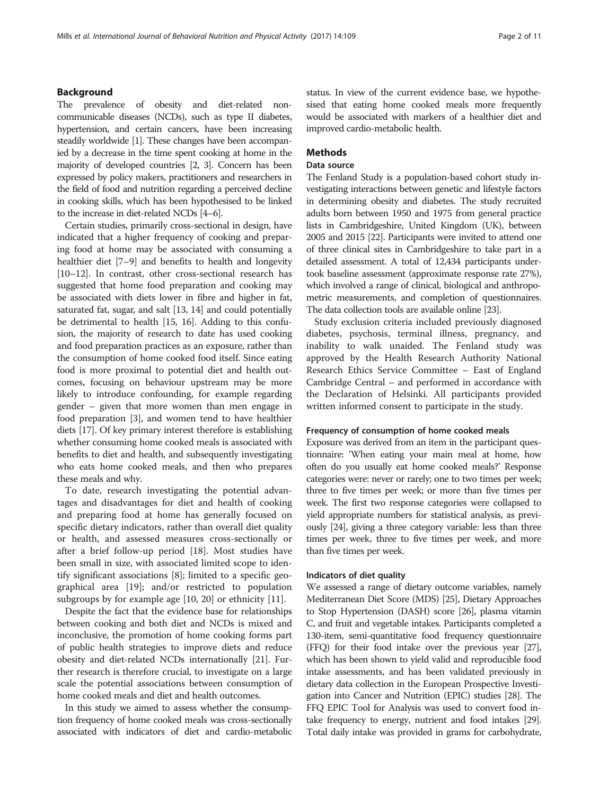## Background

The prevalence of obesity and diet-related noncommunicable diseases (NCDs), such as type II diabetes, hypertension, and certain cancers, have been increasing steadily worldwide [\[1\]](#page-9-0). These changes have been accompanied by a decrease in the time spent cooking at home in the majority of developed countries [[2](#page-10-0), [3](#page-10-0)]. Concern has been expressed by policy makers, practitioners and researchers in the field of food and nutrition regarding a perceived decline in cooking skills, which has been hypothesised to be linked to the increase in diet-related NCDs [[4](#page-10-0)–[6\]](#page-10-0).

Certain studies, primarily cross-sectional in design, have indicated that a higher frequency of cooking and preparing food at home may be associated with consuming a healthier diet [\[7](#page-10-0)–[9](#page-10-0)] and benefits to health and longevity [[10](#page-10-0)–[12\]](#page-10-0). In contrast, other cross-sectional research has suggested that home food preparation and cooking may be associated with diets lower in fibre and higher in fat, saturated fat, sugar, and salt [\[13, 14](#page-10-0)] and could potentially be detrimental to health [[15](#page-10-0), [16](#page-10-0)]. Adding to this confusion, the majority of research to date has used cooking and food preparation practices as an exposure, rather than the consumption of home cooked food itself. Since eating food is more proximal to potential diet and health outcomes, focusing on behaviour upstream may be more likely to introduce confounding, for example regarding gender – given that more women than men engage in food preparation [\[3](#page-10-0)], and women tend to have healthier diets [\[17](#page-10-0)]. Of key primary interest therefore is establishing whether consuming home cooked meals is associated with benefits to diet and health, and subsequently investigating who eats home cooked meals, and then who prepares these meals and why.

To date, research investigating the potential advantages and disadvantages for diet and health of cooking and preparing food at home has generally focused on specific dietary indicators, rather than overall diet quality or health, and assessed measures cross-sectionally or after a brief follow-up period [\[18\]](#page-10-0). Most studies have been small in size, with associated limited scope to identify significant associations [[8\]](#page-10-0); limited to a specific geographical area [\[19](#page-10-0)]; and/or restricted to population subgroups by for example age [\[10](#page-10-0), [20\]](#page-10-0) or ethnicity [\[11](#page-10-0)].

Despite the fact that the evidence base for relationships between cooking and both diet and NCDs is mixed and inconclusive, the promotion of home cooking forms part of public health strategies to improve diets and reduce obesity and diet-related NCDs internationally [[21\]](#page-10-0). Further research is therefore crucial, to investigate on a large scale the potential associations between consumption of home cooked meals and diet and health outcomes.

In this study we aimed to assess whether the consumption frequency of home cooked meals was cross-sectionally associated with indicators of diet and cardio-metabolic status. In view of the current evidence base, we hypothesised that eating home cooked meals more frequently would be associated with markers of a healthier diet and improved cardio-metabolic health.

## **Methods**

## Data source

The Fenland Study is a population-based cohort study investigating interactions between genetic and lifestyle factors in determining obesity and diabetes. The study recruited adults born between 1950 and 1975 from general practice lists in Cambridgeshire, United Kingdom (UK), between 2005 and 2015 [[22](#page-10-0)]. Participants were invited to attend one of three clinical sites in Cambridgeshire to take part in a detailed assessment. A total of 12,434 participants undertook baseline assessment (approximate response rate 27%), which involved a range of clinical, biological and anthropometric measurements, and completion of questionnaires. The data collection tools are available online [\[23\]](#page-10-0).

Study exclusion criteria included previously diagnosed diabetes, psychosis, terminal illness, pregnancy, and inability to walk unaided. The Fenland study was approved by the Health Research Authority National Research Ethics Service Committee – East of England Cambridge Central – and performed in accordance with the Declaration of Helsinki. All participants provided written informed consent to participate in the study.

#### Frequency of consumption of home cooked meals

Exposure was derived from an item in the participant questionnaire: 'When eating your main meal at home, how often do you usually eat home cooked meals?' Response categories were: never or rarely; one to two times per week; three to five times per week; or more than five times per week. The first two response categories were collapsed to yield appropriate numbers for statistical analysis, as previously [[24\]](#page-10-0), giving a three category variable: less than three times per week, three to five times per week, and more than five times per week.

#### Indicators of diet quality

We assessed a range of dietary outcome variables, namely Mediterranean Diet Score (MDS) [[25](#page-10-0)], Dietary Approaches to Stop Hypertension (DASH) score [\[26](#page-10-0)], plasma vitamin C, and fruit and vegetable intakes. Participants completed a 130-item, semi-quantitative food frequency questionnaire (FFQ) for their food intake over the previous year [\[27](#page-10-0)], which has been shown to yield valid and reproducible food intake assessments, and has been validated previously in dietary data collection in the European Prospective Investigation into Cancer and Nutrition (EPIC) studies [[28](#page-10-0)]. The FFQ EPIC Tool for Analysis was used to convert food intake frequency to energy, nutrient and food intakes [\[29](#page-10-0)]. Total daily intake was provided in grams for carbohydrate,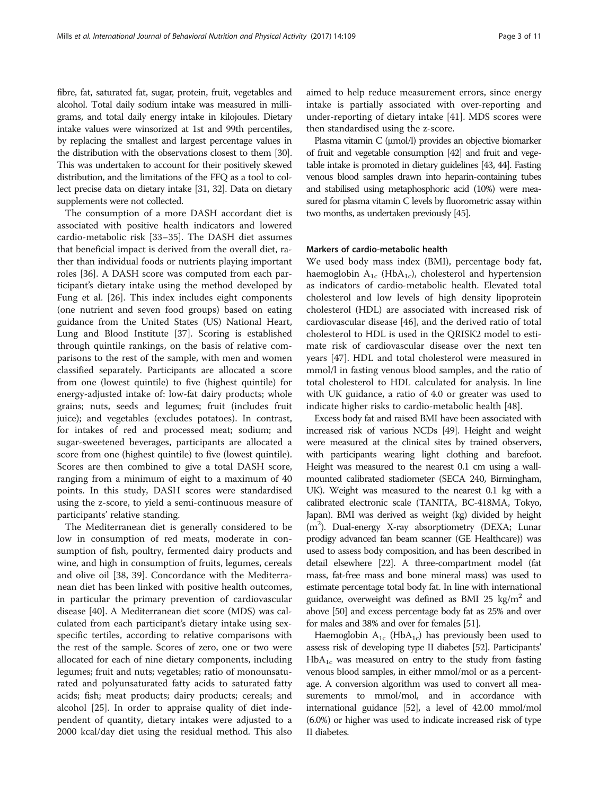fibre, fat, saturated fat, sugar, protein, fruit, vegetables and alcohol. Total daily sodium intake was measured in milligrams, and total daily energy intake in kilojoules. Dietary intake values were winsorized at 1st and 99th percentiles, by replacing the smallest and largest percentage values in the distribution with the observations closest to them [\[30](#page-10-0)]. This was undertaken to account for their positively skewed distribution, and the limitations of the FFQ as a tool to collect precise data on dietary intake [[31](#page-10-0), [32\]](#page-10-0). Data on dietary supplements were not collected.

The consumption of a more DASH accordant diet is associated with positive health indicators and lowered cardio-metabolic risk [[33](#page-10-0)–[35](#page-10-0)]. The DASH diet assumes that beneficial impact is derived from the overall diet, rather than individual foods or nutrients playing important roles [[36\]](#page-10-0). A DASH score was computed from each participant's dietary intake using the method developed by Fung et al. [[26\]](#page-10-0). This index includes eight components (one nutrient and seven food groups) based on eating guidance from the United States (US) National Heart, Lung and Blood Institute [\[37](#page-10-0)]. Scoring is established through quintile rankings, on the basis of relative comparisons to the rest of the sample, with men and women classified separately. Participants are allocated a score from one (lowest quintile) to five (highest quintile) for energy-adjusted intake of: low-fat dairy products; whole grains; nuts, seeds and legumes; fruit (includes fruit juice); and vegetables (excludes potatoes). In contrast, for intakes of red and processed meat; sodium; and sugar-sweetened beverages, participants are allocated a score from one (highest quintile) to five (lowest quintile). Scores are then combined to give a total DASH score, ranging from a minimum of eight to a maximum of 40 points. In this study, DASH scores were standardised using the z-score, to yield a semi-continuous measure of participants' relative standing.

The Mediterranean diet is generally considered to be low in consumption of red meats, moderate in consumption of fish, poultry, fermented dairy products and wine, and high in consumption of fruits, legumes, cereals and olive oil [\[38](#page-10-0), [39](#page-10-0)]. Concordance with the Mediterranean diet has been linked with positive health outcomes, in particular the primary prevention of cardiovascular disease [[40](#page-10-0)]. A Mediterranean diet score (MDS) was calculated from each participant's dietary intake using sexspecific tertiles, according to relative comparisons with the rest of the sample. Scores of zero, one or two were allocated for each of nine dietary components, including legumes; fruit and nuts; vegetables; ratio of monounsaturated and polyunsaturated fatty acids to saturated fatty acids; fish; meat products; dairy products; cereals; and alcohol [[25\]](#page-10-0). In order to appraise quality of diet independent of quantity, dietary intakes were adjusted to a 2000 kcal/day diet using the residual method. This also aimed to help reduce measurement errors, since energy intake is partially associated with over-reporting and under-reporting of dietary intake [\[41](#page-10-0)]. MDS scores were then standardised using the z-score.

Plasma vitamin C (μmol/l) provides an objective biomarker of fruit and vegetable consumption [[42\]](#page-10-0) and fruit and vegetable intake is promoted in dietary guidelines [\[43](#page-10-0), [44](#page-10-0)]. Fasting venous blood samples drawn into heparin-containing tubes and stabilised using metaphosphoric acid (10%) were measured for plasma vitamin C levels by fluorometric assay within two months, as undertaken previously [\[45](#page-10-0)].

## Markers of cardio-metabolic health

We used body mass index (BMI), percentage body fat, haemoglobin  $A_{1c}$  (Hb $A_{1c}$ ), cholesterol and hypertension as indicators of cardio-metabolic health. Elevated total cholesterol and low levels of high density lipoprotein cholesterol (HDL) are associated with increased risk of cardiovascular disease [\[46](#page-10-0)], and the derived ratio of total cholesterol to HDL is used in the QRISK2 model to estimate risk of cardiovascular disease over the next ten years [\[47](#page-10-0)]. HDL and total cholesterol were measured in mmol/l in fasting venous blood samples, and the ratio of total cholesterol to HDL calculated for analysis. In line with UK guidance, a ratio of 4.0 or greater was used to indicate higher risks to cardio-metabolic health [[48](#page-10-0)].

Excess body fat and raised BMI have been associated with increased risk of various NCDs [[49](#page-10-0)]. Height and weight were measured at the clinical sites by trained observers, with participants wearing light clothing and barefoot. Height was measured to the nearest 0.1 cm using a wallmounted calibrated stadiometer (SECA 240, Birmingham, UK). Weight was measured to the nearest 0.1 kg with a calibrated electronic scale (TANITA, BC-418MA, Tokyo, Japan). BMI was derived as weight (kg) divided by height (m2 ). Dual-energy X-ray absorptiometry (DEXA; Lunar prodigy advanced fan beam scanner (GE Healthcare)) was used to assess body composition, and has been described in detail elsewhere [\[22](#page-10-0)]. A three-compartment model (fat mass, fat-free mass and bone mineral mass) was used to estimate percentage total body fat. In line with international guidance, overweight was defined as BMI 25  $\text{kg/m}^2$  and above [\[50\]](#page-10-0) and excess percentage body fat as 25% and over for males and 38% and over for females [[51](#page-10-0)].

Haemoglobin  $A_{1c}$  (Hb $A_{1c}$ ) has previously been used to assess risk of developing type II diabetes [[52](#page-10-0)]. Participants'  $HbA<sub>1c</sub>$  was measured on entry to the study from fasting venous blood samples, in either mmol/mol or as a percentage. A conversion algorithm was used to convert all measurements to mmol/mol, and in accordance with international guidance [[52](#page-10-0)], a level of 42.00 mmol/mol (6.0%) or higher was used to indicate increased risk of type II diabetes.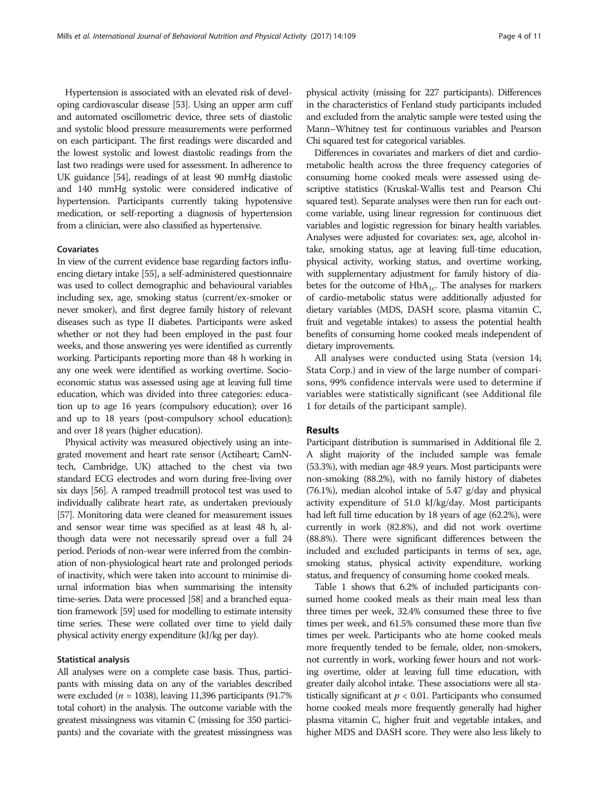Hypertension is associated with an elevated risk of developing cardiovascular disease [[53](#page-11-0)]. Using an upper arm cuff and automated oscillometric device, three sets of diastolic and systolic blood pressure measurements were performed on each participant. The first readings were discarded and the lowest systolic and lowest diastolic readings from the last two readings were used for assessment. In adherence to UK guidance [\[54\]](#page-11-0), readings of at least 90 mmHg diastolic and 140 mmHg systolic were considered indicative of hypertension. Participants currently taking hypotensive medication, or self-reporting a diagnosis of hypertension from a clinician, were also classified as hypertensive.

#### Covariates

In view of the current evidence base regarding factors influencing dietary intake [[55](#page-11-0)], a self-administered questionnaire was used to collect demographic and behavioural variables including sex, age, smoking status (current/ex-smoker or never smoker), and first degree family history of relevant diseases such as type II diabetes. Participants were asked whether or not they had been employed in the past four weeks, and those answering yes were identified as currently working. Participants reporting more than 48 h working in any one week were identified as working overtime. Socioeconomic status was assessed using age at leaving full time education, which was divided into three categories: education up to age 16 years (compulsory education); over 16 and up to 18 years (post-compulsory school education); and over 18 years (higher education).

Physical activity was measured objectively using an integrated movement and heart rate sensor (Actiheart; CamNtech, Cambridge, UK) attached to the chest via two standard ECG electrodes and worn during free-living over six days [\[56\]](#page-11-0). A ramped treadmill protocol test was used to individually calibrate heart rate, as undertaken previously [[57\]](#page-11-0). Monitoring data were cleaned for measurement issues and sensor wear time was specified as at least 48 h, although data were not necessarily spread over a full 24 period. Periods of non-wear were inferred from the combination of non-physiological heart rate and prolonged periods of inactivity, which were taken into account to minimise diurnal information bias when summarising the intensity time-series. Data were processed [\[58](#page-11-0)] and a branched equation framework [\[59\]](#page-11-0) used for modelling to estimate intensity time series. These were collated over time to yield daily physical activity energy expenditure (kJ/kg per day).

### Statistical analysis

All analyses were on a complete case basis. Thus, participants with missing data on any of the variables described were excluded ( $n = 1038$ ), leaving 11,396 participants (91.7%) total cohort) in the analysis. The outcome variable with the greatest missingness was vitamin C (missing for 350 participants) and the covariate with the greatest missingness was

physical activity (missing for 227 participants). Differences in the characteristics of Fenland study participants included and excluded from the analytic sample were tested using the Mann–Whitney test for continuous variables and Pearson Chi squared test for categorical variables.

Differences in covariates and markers of diet and cardiometabolic health across the three frequency categories of consuming home cooked meals were assessed using descriptive statistics (Kruskal-Wallis test and Pearson Chi squared test). Separate analyses were then run for each outcome variable, using linear regression for continuous diet variables and logistic regression for binary health variables. Analyses were adjusted for covariates: sex, age, alcohol intake, smoking status, age at leaving full-time education, physical activity, working status, and overtime working, with supplementary adjustment for family history of diabetes for the outcome of  $HbA_{1c}$ . The analyses for markers of cardio-metabolic status were additionally adjusted for dietary variables (MDS, DASH score, plasma vitamin C, fruit and vegetable intakes) to assess the potential health benefits of consuming home cooked meals independent of dietary improvements.

All analyses were conducted using Stata (version 14; Stata Corp.) and in view of the large number of comparisons, 99% confidence intervals were used to determine if variables were statistically significant (see Additional file [1](#page-9-0) for details of the participant sample).

## Results

Participant distribution is summarised in Additional file [2](#page-9-0). A slight majority of the included sample was female (53.3%), with median age 48.9 years. Most participants were non-smoking (88.2%), with no family history of diabetes (76.1%), median alcohol intake of 5.47 g/day and physical activity expenditure of 51.0 kJ/kg/day. Most participants had left full time education by 18 years of age (62.2%), were currently in work (82.8%), and did not work overtime (88.8%). There were significant differences between the included and excluded participants in terms of sex, age, smoking status, physical activity expenditure, working status, and frequency of consuming home cooked meals.

Table [1](#page-5-0) shows that 6.2% of included participants consumed home cooked meals as their main meal less than three times per week, 32.4% consumed these three to five times per week, and 61.5% consumed these more than five times per week. Participants who ate home cooked meals more frequently tended to be female, older, non-smokers, not currently in work, working fewer hours and not working overtime, older at leaving full time education, with greater daily alcohol intake. These associations were all statistically significant at  $p < 0.01$ . Participants who consumed home cooked meals more frequently generally had higher plasma vitamin C, higher fruit and vegetable intakes, and higher MDS and DASH score. They were also less likely to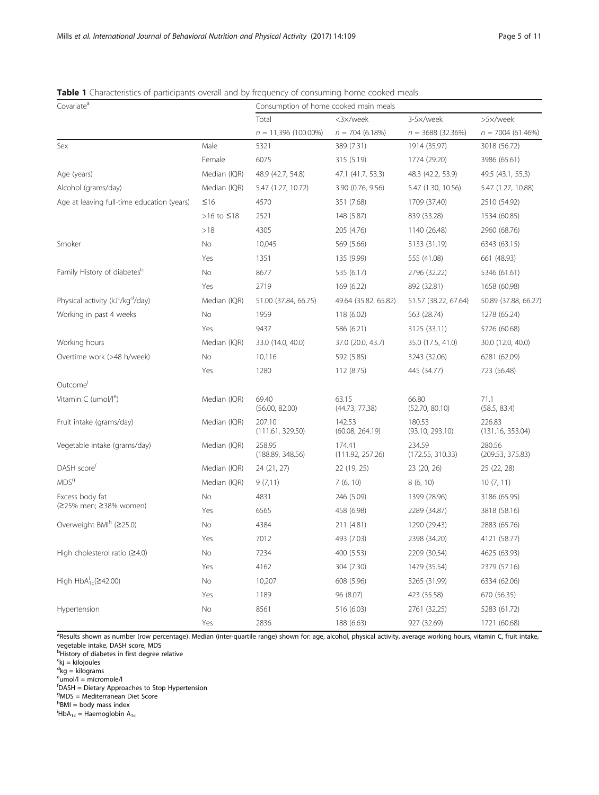| Covariate <sup>d</sup>                                    |              | Consumption of home cooked main meals |                            |                            |                            |  |
|-----------------------------------------------------------|--------------|---------------------------------------|----------------------------|----------------------------|----------------------------|--|
|                                                           |              | Total<br><3×/week                     |                            | 3-5x/week                  | >5x/week                   |  |
|                                                           |              | $n = 11,396(100.00\%)$                | $n = 704(6.18%)$           | $n = 3688(32.36%)$         | $n = 7004(61.46%)$         |  |
| Sex                                                       | Male         | 5321                                  | 389 (7.31)                 | 1914 (35.97)               | 3018 (56.72)               |  |
|                                                           | Female       | 6075                                  | 315 (5.19)                 | 1774 (29.20)               | 3986 (65.61)               |  |
| Age (years)                                               | Median (IQR) | 48.9 (42.7, 54.8)                     | 47.1 (41.7, 53.3)          | 48.3 (42.2, 53.9)          | 49.5 (43.1, 55.3)          |  |
| Alcohol (grams/day)                                       | Median (IQR) | 5.47 (1.27, 10.72)                    | 3.90 (0.76, 9.56)          | 5.47 (1.30, 10.56)         | 5.47 (1.27, 10.88)         |  |
| Age at leaving full-time education (years)                | $\leq 16$    | 4570                                  | 351 (7.68)                 | 1709 (37.40)               | 2510 (54.92)               |  |
|                                                           | >16 to $≤18$ | 2521                                  | 148 (5.87)                 | 839 (33.28)                | 1534 (60.85)               |  |
|                                                           | >18          | 4305                                  | 205 (4.76)                 | 1140 (26.48)               | 2960 (68.76)               |  |
| Smoker                                                    | No           | 10,045                                | 569 (5.66)                 | 3133 (31.19)               | 6343 (63.15)               |  |
|                                                           | Yes          | 1351                                  | 135 (9.99)                 | 555 (41.08)                | 661 (48.93)                |  |
| Family History of diabetes <sup>b</sup>                   | No           | 8677                                  | 535 (6.17)                 | 2796 (32.22)               | 5346 (61.61)               |  |
|                                                           | Yes          | 2719                                  | 169 (6.22)                 | 892 (32.81)                | 1658 (60.98)               |  |
| Physical activity (kJ <sup>c</sup> /kg <sup>d</sup> /day) | Median (IQR) | 51.00 (37.84, 66.75)                  | 49.64 (35.82, 65.82)       | 51.57 (38.22, 67.64)       | 50.89 (37.88, 66.27)       |  |
| Working in past 4 weeks                                   | No           | 1959                                  | 118 (6.02)                 | 563 (28.74)                | 1278 (65.24)               |  |
|                                                           | Yes          | 9437                                  | 586 (6.21)                 | 3125 (33.11)               | 5726 (60.68)               |  |
| Working hours                                             | Median (IQR) | 33.0 (14.0, 40.0)                     | 37.0 (20.0, 43.7)          | 35.0 (17.5, 41.0)          | 30.0 (12.0, 40.0)          |  |
| Overtime work (>48 h/week)                                | No           | 10,116                                | 592 (5.85)                 | 3243 (32.06)               | 6281 (62.09)               |  |
|                                                           | Yes          | 1280                                  | 112 (8.75)                 | 445 (34.77)                | 723 (56.48)                |  |
| Outcome                                                   |              |                                       |                            |                            |                            |  |
| Vitamin C (umol/l <sup>e</sup> )                          | Median (IQR) | 69.40<br>(56.00, 82.00)               | 63.15<br>(44.73, 77.38)    | 66.80<br>(52.70, 80.10)    | 71.1<br>(58.5, 83.4)       |  |
| Fruit intake (grams/day)                                  | Median (IQR) | 207.10<br>(111.61, 329.50)            | 142.53<br>(60.08, 264.19)  | 180.53<br>(93.10, 293.10)  | 226.83<br>(131.16, 353.04) |  |
| Vegetable intake (grams/day)                              | Median (IQR) | 258.95<br>(188.89, 348.56)            | 174.41<br>(111.92, 257.26) | 234.59<br>(172.55, 310.33) | 280.56<br>(209.53, 375.83) |  |
| DASH score <sup>t</sup>                                   | Median (IQR) | 24 (21, 27)                           | 22 (19, 25)                | 23 (20, 26)                | 25 (22, 28)                |  |
| MDS <sup>9</sup>                                          | Median (IQR) | 9(7,11)                               | 7(6, 10)                   | 8(6, 10)                   | 10(7, 11)                  |  |
| Excess body fat<br>(≥25% men; ≥38% women)                 | No           | 4831                                  | 246 (5.09)                 | 1399 (28.96)               | 3186 (65.95)               |  |
|                                                           | Yes          | 6565                                  | 458 (6.98)                 | 2289 (34.87)               | 3818 (58.16)               |  |
| Overweight BMI <sup>h</sup> (≥25.0)                       | No           | 4384                                  | 211 (4.81)                 | 1290 (29.43)               | 2883 (65.76)               |  |
|                                                           | Yes          | 7012                                  | 493 (7.03)                 | 2398 (34.20)               | 4121 (58.77)               |  |
| High cholesterol ratio (≥4.0)                             | No           | 7234                                  | 400 (5.53)                 | 2209 (30.54)               | 4625 (63.93)               |  |
|                                                           | Yes          | 4162                                  | 304 (7.30)                 | 1479 (35.54)               | 2379 (57.16)               |  |
| High $HbA_{1c}^{i}$ (242.00)                              | No           | 10,207                                | 608 (5.96)                 | 3265 (31.99)               | 6334 (62.06)               |  |
|                                                           | Yes          | 1189                                  | 96 (8.07)                  | 423 (35.58)                | 670 (56.35)                |  |
| Hypertension                                              | No           | 8561                                  | 516 (6.03)                 | 2761 (32.25)               | 5283 (61.72)               |  |
|                                                           | Yes          | 2836                                  | 188 (6.63)                 | 927 (32.69)                | 1721 (60.68)               |  |

## <span id="page-5-0"></span>**Table 1** Characteristics of participants overall and by frequency of consuming home cooked meals

a<br>Results shown as number (row percentage). Median (inter-quartile range) shown for: age, alcohol, physical activity, average working hours, vitamin C, fruit intake, vegetable intake, DASH score, MDS<br><sup>b</sup>History of diabetes in first degree relative

 $e$ umol/l = micromole/l

f DASH = Dietary Approaches to Stop Hypertension g MDS = Mediterranean Diet Score

h<sub>BMI</sub> = body mass index

 ${}^i$ HbA<sub>1c</sub> = Haemoglobin A<sub>1c</sub>

 $c$ kj = kilojoules

<sup>&</sup>lt;sup>d</sup>kg = kilograms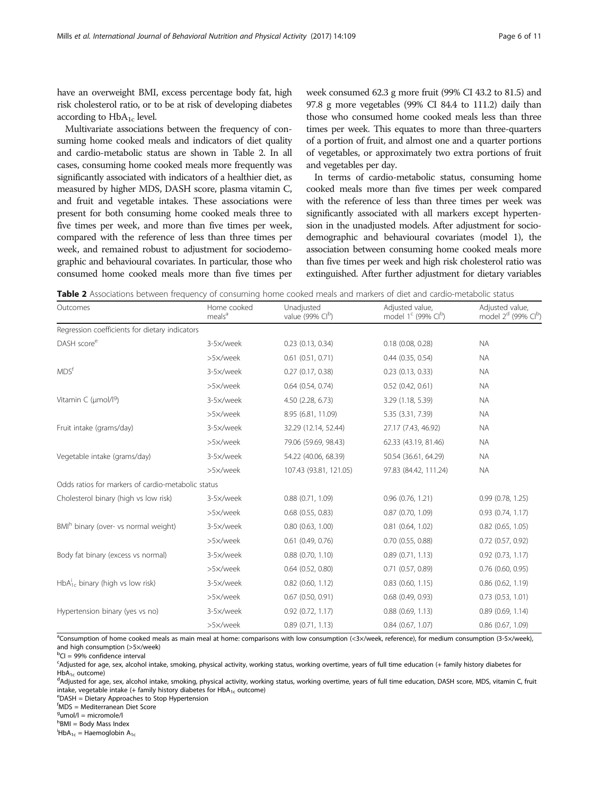have an overweight BMI, excess percentage body fat, high risk cholesterol ratio, or to be at risk of developing diabetes according to  $HbA_{1c}$  level.

Multivariate associations between the frequency of consuming home cooked meals and indicators of diet quality and cardio-metabolic status are shown in Table 2. In all cases, consuming home cooked meals more frequently was significantly associated with indicators of a healthier diet, as measured by higher MDS, DASH score, plasma vitamin C, and fruit and vegetable intakes. These associations were present for both consuming home cooked meals three to five times per week, and more than five times per week, compared with the reference of less than three times per week, and remained robust to adjustment for sociodemographic and behavioural covariates. In particular, those who consumed home cooked meals more than five times per week consumed 62.3 g more fruit (99% CI 43.2 to 81.5) and 97.8 g more vegetables (99% CI 84.4 to 111.2) daily than those who consumed home cooked meals less than three times per week. This equates to more than three-quarters of a portion of fruit, and almost one and a quarter portions of vegetables, or approximately two extra portions of fruit and vegetables per day.

In terms of cardio-metabolic status, consuming home cooked meals more than five times per week compared with the reference of less than three times per week was significantly associated with all markers except hypertension in the unadjusted models. After adjustment for sociodemographic and behavioural covariates (model 1), the association between consuming home cooked meals more than five times per week and high risk cholesterol ratio was extinguished. After further adjustment for dietary variables

| Table 2 Associations between frequency of consuming home cooked meals and markers of diet and cardio-metabolic status |                                   |                               |                                                   |                                                   |  |  |  |
|-----------------------------------------------------------------------------------------------------------------------|-----------------------------------|-------------------------------|---------------------------------------------------|---------------------------------------------------|--|--|--|
| Outcomes                                                                                                              | Home cooked<br>meals <sup>a</sup> | Unadjusted<br>value (99% Clb) | Adjusted value,<br>model 1 <sup>c</sup> (99% Clb) | Adjusted value,<br>model 2 <sup>d</sup> (99% Clb) |  |  |  |
| Regression coefficients for dietary indicators                                                                        |                                   |                               |                                                   |                                                   |  |  |  |
| DASH score <sup>e</sup>                                                                                               | 3-5x/week                         | 0.23(0.13, 0.34)              | 0.18(0.08, 0.28)                                  | <b>NA</b>                                         |  |  |  |
|                                                                                                                       | >5x/week                          | $0.61$ $(0.51, 0.71)$         | $0.44$ $(0.35, 0.54)$                             | <b>NA</b>                                         |  |  |  |
| <b>MDS</b> <sup>f</sup>                                                                                               | 3-5×/week                         | $0.27$ (0.17, 0.38)           | 0.23(0.13, 0.33)                                  | <b>NA</b>                                         |  |  |  |
|                                                                                                                       | >5x/week                          | $0.64$ $(0.54, 0.74)$         | 0.52(0.42, 0.61)                                  | <b>NA</b>                                         |  |  |  |
| Vitamin C ( $\mu$ mol/l <sup>9</sup> )                                                                                | 3-5x/week                         | 4.50 (2.28, 6.73)             | 3.29 (1.18, 5.39)                                 | <b>NA</b>                                         |  |  |  |
|                                                                                                                       | >5x/week                          | 8.95 (6.81, 11.09)            | 5.35 (3.31, 7.39)                                 | <b>NA</b>                                         |  |  |  |
| Fruit intake (grams/day)                                                                                              | 3-5×/week                         | 32.29 (12.14, 52.44)          | 27.17 (7.43, 46.92)                               | <b>NA</b>                                         |  |  |  |
|                                                                                                                       | >5x/week                          | 79.06 (59.69, 98.43)          | 62.33 (43.19, 81.46)                              | <b>NA</b>                                         |  |  |  |
| Vegetable intake (grams/day)                                                                                          | 3-5×/week                         | 54.22 (40.06, 68.39)          | 50.54 (36.61, 64.29)                              | <b>NA</b>                                         |  |  |  |
|                                                                                                                       | >5x/week                          | 107.43 (93.81, 121.05)        | 97.83 (84.42, 111.24)                             | <b>NA</b>                                         |  |  |  |
| Odds ratios for markers of cardio-metabolic status                                                                    |                                   |                               |                                                   |                                                   |  |  |  |
| Cholesterol binary (high vs low risk)                                                                                 | 3-5x/week                         | 0.88(0.71, 1.09)              | 0.96(0.76, 1.21)                                  | 0.99(0.78, 1.25)                                  |  |  |  |
|                                                                                                                       | >5x/week                          | $0.68$ $(0.55, 0.83)$         | $0.87$ $(0.70, 1.09)$                             | 0.93(0.74, 1.17)                                  |  |  |  |
| BMI <sup>h</sup> binary (over- vs normal weight)                                                                      | 3-5×/week                         | $0.80$ $(0.63, 1.00)$         | 0.81(0.64, 1.02)                                  | $0.82$ (0.65, 1.05)                               |  |  |  |
|                                                                                                                       | >5x/week                          | $0.61$ $(0.49, 0.76)$         | 0.70(0.55, 0.88)                                  | $0.72$ $(0.57, 0.92)$                             |  |  |  |
| Body fat binary (excess vs normal)                                                                                    | 3-5×/week                         | $0.88$ $(0.70, 1.10)$         | 0.89(0.71, 1.13)                                  | $0.92$ $(0.73, 1.17)$                             |  |  |  |
|                                                                                                                       | >5x/week                          | $0.64$ $(0.52, 0.80)$         | 0.71(0.57, 0.89)                                  | $0.76$ $(0.60, 0.95)$                             |  |  |  |
| $HbA_{1c}^{i}$ binary (high vs low risk)                                                                              | 3-5x/week                         | $0.82$ $(0.60, 1.12)$         | $0.83$ $(0.60, 1.15)$                             | $0.86$ $(0.62, 1.19)$                             |  |  |  |
|                                                                                                                       | >5x/week                          | $0.67$ (0.50, 0.91)           | $0.68$ $(0.49, 0.93)$                             | $0.73$ $(0.53, 1.01)$                             |  |  |  |
| Hypertension binary (yes vs no)                                                                                       | 3-5×/week                         | $0.92$ $(0.72, 1.17)$         | 0.88(0.69, 1.13)                                  | 0.89(0.69, 1.14)                                  |  |  |  |
|                                                                                                                       | >5x/week                          | 0.89(0.71, 1.13)              | $0.84$ $(0.67, 1.07)$                             | $0.86$ $(0.67, 1.09)$                             |  |  |  |

a Consumption of home cooked meals as main meal at home: comparisons with low consumption (<3×/week, reference), for medium consumption (3-5×/week), and high consumption (>5×/week)

<sup>b</sup>CI = 99% confidence interval

c Adjusted for age, sex, alcohol intake, smoking, physical activity, working status, working overtime, years of full time education (+ family history diabetes for  $HbA_{1c}$  outcome)

<sup>d</sup>Adjusted for age, sex, alcohol intake, smoking, physical activity, working status, working overtime, years of full time education, DASH score, MDS, vitamin C, fruit intake, vegetable intake (+ family history diabetes for  $HbA_{1c}$  outcome)

 $e^{c}$ DASH = Dietary Approaches to Stop Hypertension

f MDS = Mediterranean Diet Score

<sup>g</sup>umol/l = micromole/l

h<br>BMI = Body Mass Index

 ${}^{i}$ HbA<sub>1c</sub> = Haemoglobin A<sub>1c</sub>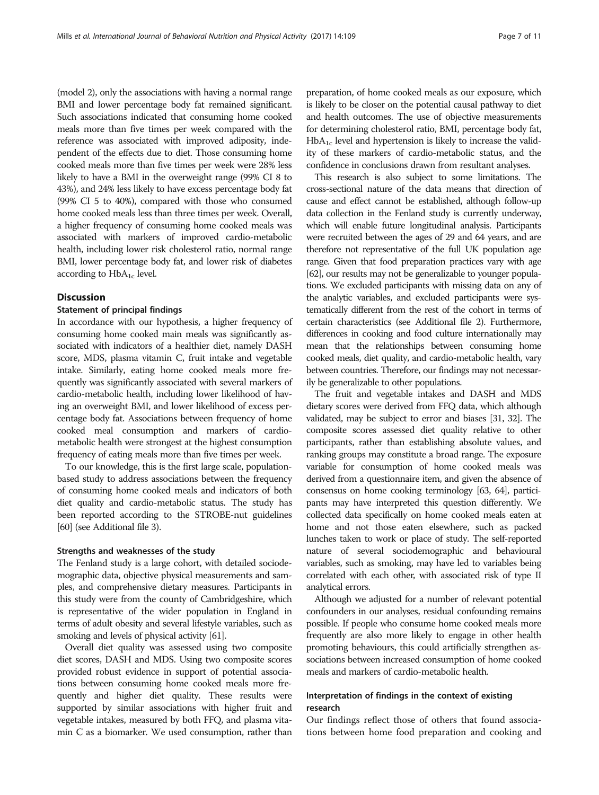(model 2), only the associations with having a normal range BMI and lower percentage body fat remained significant. Such associations indicated that consuming home cooked meals more than five times per week compared with the reference was associated with improved adiposity, independent of the effects due to diet. Those consuming home cooked meals more than five times per week were 28% less likely to have a BMI in the overweight range (99% CI 8 to 43%), and 24% less likely to have excess percentage body fat (99% CI 5 to 40%), compared with those who consumed home cooked meals less than three times per week. Overall, a higher frequency of consuming home cooked meals was associated with markers of improved cardio-metabolic health, including lower risk cholesterol ratio, normal range BMI, lower percentage body fat, and lower risk of diabetes according to  $HbA_{1c}$  level.

## **Discussion**

### Statement of principal findings

In accordance with our hypothesis, a higher frequency of consuming home cooked main meals was significantly associated with indicators of a healthier diet, namely DASH score, MDS, plasma vitamin C, fruit intake and vegetable intake. Similarly, eating home cooked meals more frequently was significantly associated with several markers of cardio-metabolic health, including lower likelihood of having an overweight BMI, and lower likelihood of excess percentage body fat. Associations between frequency of home cooked meal consumption and markers of cardiometabolic health were strongest at the highest consumption frequency of eating meals more than five times per week.

To our knowledge, this is the first large scale, populationbased study to address associations between the frequency of consuming home cooked meals and indicators of both diet quality and cardio-metabolic status. The study has been reported according to the STROBE-nut guidelines [[60](#page-11-0)] (see Additional file [3](#page-9-0)).

#### Strengths and weaknesses of the study

The Fenland study is a large cohort, with detailed sociodemographic data, objective physical measurements and samples, and comprehensive dietary measures. Participants in this study were from the county of Cambridgeshire, which is representative of the wider population in England in terms of adult obesity and several lifestyle variables, such as smoking and levels of physical activity [[61](#page-11-0)].

Overall diet quality was assessed using two composite diet scores, DASH and MDS. Using two composite scores provided robust evidence in support of potential associations between consuming home cooked meals more frequently and higher diet quality. These results were supported by similar associations with higher fruit and vegetable intakes, measured by both FFQ, and plasma vitamin C as a biomarker. We used consumption, rather than preparation, of home cooked meals as our exposure, which is likely to be closer on the potential causal pathway to diet and health outcomes. The use of objective measurements for determining cholesterol ratio, BMI, percentage body fat,  $HbA<sub>1c</sub>$  level and hypertension is likely to increase the validity of these markers of cardio-metabolic status, and the confidence in conclusions drawn from resultant analyses.

This research is also subject to some limitations. The cross-sectional nature of the data means that direction of cause and effect cannot be established, although follow-up data collection in the Fenland study is currently underway, which will enable future longitudinal analysis. Participants were recruited between the ages of 29 and 64 years, and are therefore not representative of the full UK population age range. Given that food preparation practices vary with age [[62\]](#page-11-0), our results may not be generalizable to younger populations. We excluded participants with missing data on any of the analytic variables, and excluded participants were systematically different from the rest of the cohort in terms of certain characteristics (see Additional file [2](#page-9-0)). Furthermore, differences in cooking and food culture internationally may mean that the relationships between consuming home cooked meals, diet quality, and cardio-metabolic health, vary between countries. Therefore, our findings may not necessarily be generalizable to other populations.

The fruit and vegetable intakes and DASH and MDS dietary scores were derived from FFQ data, which although validated, may be subject to error and biases [\[31](#page-10-0), [32](#page-10-0)]. The composite scores assessed diet quality relative to other participants, rather than establishing absolute values, and ranking groups may constitute a broad range. The exposure variable for consumption of home cooked meals was derived from a questionnaire item, and given the absence of consensus on home cooking terminology [\[63](#page-11-0), [64\]](#page-11-0), participants may have interpreted this question differently. We collected data specifically on home cooked meals eaten at home and not those eaten elsewhere, such as packed lunches taken to work or place of study. The self-reported nature of several sociodemographic and behavioural variables, such as smoking, may have led to variables being correlated with each other, with associated risk of type II analytical errors.

Although we adjusted for a number of relevant potential confounders in our analyses, residual confounding remains possible. If people who consume home cooked meals more frequently are also more likely to engage in other health promoting behaviours, this could artificially strengthen associations between increased consumption of home cooked meals and markers of cardio-metabolic health.

## Interpretation of findings in the context of existing research

Our findings reflect those of others that found associations between home food preparation and cooking and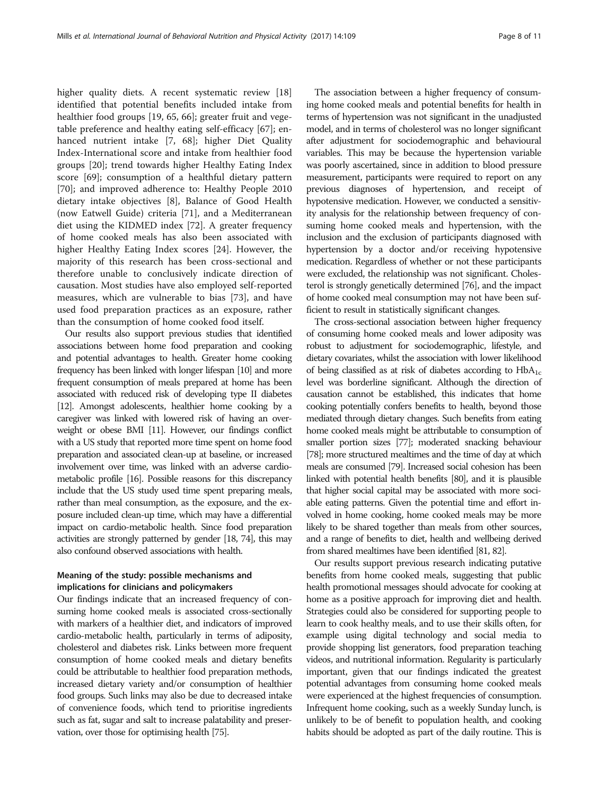higher quality diets. A recent systematic review [[18](#page-10-0)] identified that potential benefits included intake from healthier food groups [[19,](#page-10-0) [65, 66\]](#page-11-0); greater fruit and vegetable preference and healthy eating self-efficacy [[67\]](#page-11-0); enhanced nutrient intake [[7](#page-10-0), [68](#page-11-0)]; higher Diet Quality Index-International score and intake from healthier food groups [[20](#page-10-0)]; trend towards higher Healthy Eating Index score [\[69](#page-11-0)]; consumption of a healthful dietary pattern [[70\]](#page-11-0); and improved adherence to: Healthy People 2010 dietary intake objectives [[8\]](#page-10-0), Balance of Good Health (now Eatwell Guide) criteria [\[71](#page-11-0)], and a Mediterranean diet using the KIDMED index [\[72\]](#page-11-0). A greater frequency of home cooked meals has also been associated with higher Healthy Eating Index scores [\[24\]](#page-10-0). However, the majority of this research has been cross-sectional and therefore unable to conclusively indicate direction of causation. Most studies have also employed self-reported measures, which are vulnerable to bias [\[73](#page-11-0)], and have used food preparation practices as an exposure, rather than the consumption of home cooked food itself.

Our results also support previous studies that identified associations between home food preparation and cooking and potential advantages to health. Greater home cooking frequency has been linked with longer lifespan [[10\]](#page-10-0) and more frequent consumption of meals prepared at home has been associated with reduced risk of developing type II diabetes [[12\]](#page-10-0). Amongst adolescents, healthier home cooking by a caregiver was linked with lowered risk of having an overweight or obese BMI [[11\]](#page-10-0). However, our findings conflict with a US study that reported more time spent on home food preparation and associated clean-up at baseline, or increased involvement over time, was linked with an adverse cardiometabolic profile [\[16\]](#page-10-0). Possible reasons for this discrepancy include that the US study used time spent preparing meals, rather than meal consumption, as the exposure, and the exposure included clean-up time, which may have a differential impact on cardio-metabolic health. Since food preparation activities are strongly patterned by gender [\[18,](#page-10-0) [74](#page-11-0)], this may also confound observed associations with health.

## Meaning of the study: possible mechanisms and implications for clinicians and policymakers

Our findings indicate that an increased frequency of consuming home cooked meals is associated cross-sectionally with markers of a healthier diet, and indicators of improved cardio-metabolic health, particularly in terms of adiposity, cholesterol and diabetes risk. Links between more frequent consumption of home cooked meals and dietary benefits could be attributable to healthier food preparation methods, increased dietary variety and/or consumption of healthier food groups. Such links may also be due to decreased intake of convenience foods, which tend to prioritise ingredients such as fat, sugar and salt to increase palatability and preservation, over those for optimising health [[75\]](#page-11-0).

The association between a higher frequency of consuming home cooked meals and potential benefits for health in terms of hypertension was not significant in the unadjusted model, and in terms of cholesterol was no longer significant after adjustment for sociodemographic and behavioural variables. This may be because the hypertension variable was poorly ascertained, since in addition to blood pressure measurement, participants were required to report on any previous diagnoses of hypertension, and receipt of hypotensive medication. However, we conducted a sensitivity analysis for the relationship between frequency of consuming home cooked meals and hypertension, with the inclusion and the exclusion of participants diagnosed with hypertension by a doctor and/or receiving hypotensive medication. Regardless of whether or not these participants were excluded, the relationship was not significant. Cholesterol is strongly genetically determined [\[76\]](#page-11-0), and the impact of home cooked meal consumption may not have been sufficient to result in statistically significant changes.

The cross-sectional association between higher frequency of consuming home cooked meals and lower adiposity was robust to adjustment for sociodemographic, lifestyle, and dietary covariates, whilst the association with lower likelihood of being classified as at risk of diabetes according to  $HbA_{1c}$ level was borderline significant. Although the direction of causation cannot be established, this indicates that home cooking potentially confers benefits to health, beyond those mediated through dietary changes. Such benefits from eating home cooked meals might be attributable to consumption of smaller portion sizes [[77\]](#page-11-0); moderated snacking behaviour [[78\]](#page-11-0); more structured mealtimes and the time of day at which meals are consumed [\[79\]](#page-11-0). Increased social cohesion has been linked with potential health benefits [[80\]](#page-11-0), and it is plausible that higher social capital may be associated with more sociable eating patterns. Given the potential time and effort involved in home cooking, home cooked meals may be more likely to be shared together than meals from other sources, and a range of benefits to diet, health and wellbeing derived from shared mealtimes have been identified [\[81](#page-11-0), [82\]](#page-11-0).

Our results support previous research indicating putative benefits from home cooked meals, suggesting that public health promotional messages should advocate for cooking at home as a positive approach for improving diet and health. Strategies could also be considered for supporting people to learn to cook healthy meals, and to use their skills often, for example using digital technology and social media to provide shopping list generators, food preparation teaching videos, and nutritional information. Regularity is particularly important, given that our findings indicated the greatest potential advantages from consuming home cooked meals were experienced at the highest frequencies of consumption. Infrequent home cooking, such as a weekly Sunday lunch, is unlikely to be of benefit to population health, and cooking habits should be adopted as part of the daily routine. This is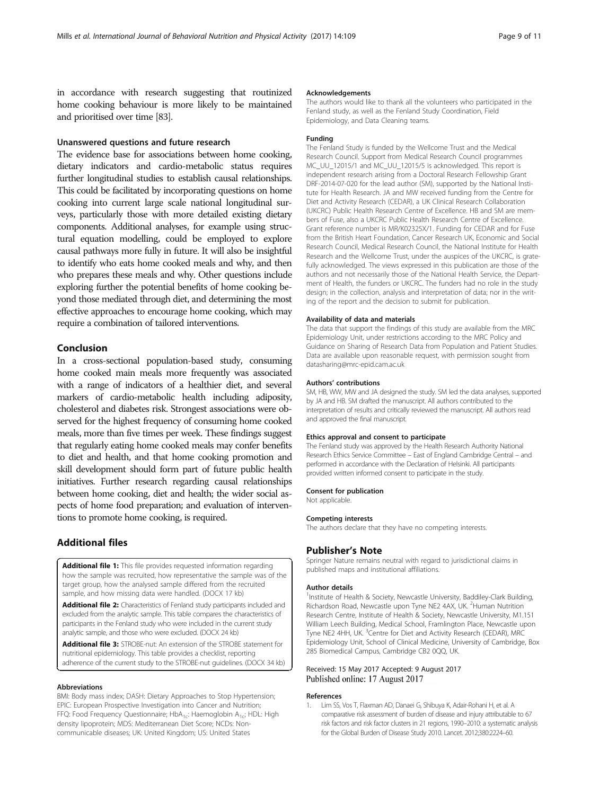<span id="page-9-0"></span>in accordance with research suggesting that routinized home cooking behaviour is more likely to be maintained and prioritised over time [[83\]](#page-11-0).

### Unanswered questions and future research

The evidence base for associations between home cooking, dietary indicators and cardio-metabolic status requires further longitudinal studies to establish causal relationships. This could be facilitated by incorporating questions on home cooking into current large scale national longitudinal surveys, particularly those with more detailed existing dietary components. Additional analyses, for example using structural equation modelling, could be employed to explore causal pathways more fully in future. It will also be insightful to identify who eats home cooked meals and why, and then who prepares these meals and why. Other questions include exploring further the potential benefits of home cooking beyond those mediated through diet, and determining the most effective approaches to encourage home cooking, which may require a combination of tailored interventions.

### Conclusion

In a cross-sectional population-based study, consuming home cooked main meals more frequently was associated with a range of indicators of a healthier diet, and several markers of cardio-metabolic health including adiposity, cholesterol and diabetes risk. Strongest associations were observed for the highest frequency of consuming home cooked meals, more than five times per week. These findings suggest that regularly eating home cooked meals may confer benefits to diet and health, and that home cooking promotion and skill development should form part of future public health initiatives. Further research regarding causal relationships between home cooking, diet and health; the wider social aspects of home food preparation; and evaluation of interventions to promote home cooking, is required.

## Additional files

[Additional file 1:](dx.doi.org/10.1186/s12966-017-0567-y) This file provides requested information regarding how the sample was recruited, how representative the sample was of the target group, how the analysed sample differed from the recruited sample, and how missing data were handled. (DOCX 17 kb)

[Additional file 2:](dx.doi.org/10.1186/s12966-017-0567-y) Characteristics of Fenland study participants included and excluded from the analytic sample. This table compares the characteristics of participants in the Fenland study who were included in the current study analytic sample, and those who were excluded. (DOCX 24 kb)

[Additional file 3:](dx.doi.org/10.1186/s12966-017-0567-y) STROBE-nut: An extension of the STROBE statement for nutritional epidemiology. This table provides a checklist, reporting adherence of the current study to the STROBE-nut guidelines. (DOCX 34 kb)

#### Abbreviations

BMI: Body mass index; DASH: Dietary Approaches to Stop Hypertension; EPIC: European Prospective Investigation into Cancer and Nutrition; FFQ: Food Frequency Questionnaire;  $HbA_{1c}$ : Haemoglobin  $A_{1c}$ ; HDL: High density lipoprotein; MDS: Mediterranean Diet Score; NCDs: Noncommunicable diseases; UK: United Kingdom; US: United States

#### Acknowledgements

The authors would like to thank all the volunteers who participated in the Fenland study, as well as the Fenland Study Coordination, Field Epidemiology, and Data Cleaning teams.

#### Funding

The Fenland Study is funded by the Wellcome Trust and the Medical Research Council. Support from Medical Research Council programmes MC\_UU\_12015/1 and MC\_UU\_12015/5 is acknowledged. This report is independent research arising from a Doctoral Research Fellowship Grant DRF-2014-07-020 for the lead author (SM), supported by the National Institute for Health Research. JA and MW received funding from the Centre for Diet and Activity Research (CEDAR), a UK Clinical Research Collaboration (UKCRC) Public Health Research Centre of Excellence. HB and SM are members of Fuse, also a UKCRC Public Health Research Centre of Excellence. Grant reference number is MR/K02325X/1. Funding for CEDAR and for Fuse from the British Heart Foundation, Cancer Research UK, Economic and Social Research Council, Medical Research Council, the National Institute for Health Research and the Wellcome Trust, under the auspices of the UKCRC, is gratefully acknowledged. The views expressed in this publication are those of the authors and not necessarily those of the National Health Service, the Department of Health, the funders or UKCRC. The funders had no role in the study design; in the collection, analysis and interpretation of data; nor in the writing of the report and the decision to submit for publication.

### Availability of data and materials

The data that support the findings of this study are available from the MRC Epidemiology Unit, under restrictions according to the MRC Policy and Guidance on Sharing of Research Data from Population and Patient Studies. Data are available upon reasonable request, with permission sought from datasharing@mrc-epid.cam.ac.uk

#### Authors' contributions

SM, HB, WW, MW and JA designed the study. SM led the data analyses, supported by JA and HB. SM drafted the manuscript. All authors contributed to the interpretation of results and critically reviewed the manuscript. All authors read and approved the final manuscript.

#### Ethics approval and consent to participate

The Fenland study was approved by the Health Research Authority National Research Ethics Service Committee – East of England Cambridge Central – and performed in accordance with the Declaration of Helsinki. All participants provided written informed consent to participate in the study.

#### Consent for publication

Not applicable.

#### Competing interests

The authors declare that they have no competing interests.

#### Publisher's Note

Springer Nature remains neutral with regard to jurisdictional claims in published maps and institutional affiliations.

#### Author details

<sup>1</sup>Institute of Health & Society, Newcastle University, Baddiley-Clark Building, Richardson Road, Newcastle upon Tyne NE2 4AX, UK. <sup>2</sup>Human Nutrition Research Centre, Institute of Health & Society, Newcastle University, M1.151 William Leech Building, Medical School, Framlington Place, Newcastle upon Tyne NE2 4HH, UK. <sup>3</sup>Centre for Diet and Activity Research (CEDAR), MRC Epidemiology Unit, School of Clinical Medicine, University of Cambridge, Box 285 Biomedical Campus, Cambridge CB2 0QQ, UK.

#### Received: 15 May 2017 Accepted: 9 August 2017 Published online: 17 August 2017

#### References

1. Lim SS, Vos T, Flaxman AD, Danaei G, Shibuya K, Adair-Rohani H, et al. A comparative risk assessment of burden of disease and injury attributable to 67 risk factors and risk factor clusters in 21 regions, 1990–2010: a systematic analysis for the Global Burden of Disease Study 2010. Lancet. 2012;380:2224–60.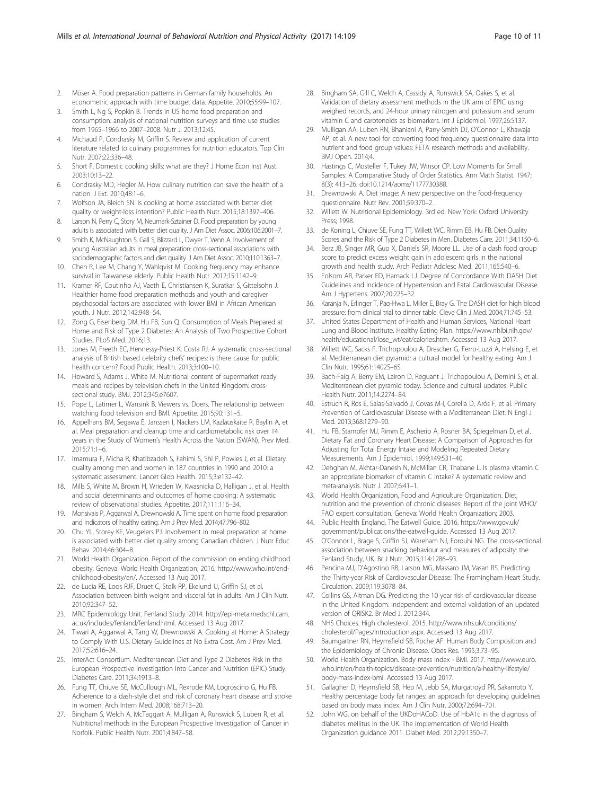- <span id="page-10-0"></span>2. Möser A. Food preparation patterns in German family households. An econometric approach with time budget data. Appetite. 2010;55:99–107.
- 3. Smith L, Ng S, Popkin B. Trends in US home food preparation and consumption: analysis of national nutrition surveys and time use studies from 1965–1966 to 2007–2008. Nutr J. 2013;12:45.
- 4. Michaud P, Condrasky M, Griffin S. Review and application of current literature related to culinary programmes for nutrition educators. Top Clin Nutr. 2007;22:336–48.
- 5. Short F. Domestic cooking skills: what are they? J Home Econ Inst Aust. 2003;10:13–22.
- 6. Condrasky MD, Hegler M. How culinary nutrition can save the health of a nation. J Ext. 2010;48:1–6.
- 7. Wolfson JA, Bleich SN. Is cooking at home associated with better diet quality or weight-loss intention? Public Health Nutr. 2015;18:1397–406.
- 8. Larson N, Perry C, Story M, Neumark-Sztainer D. Food preparation by young adults is associated with better diet quality. J Am Diet Assoc. 2006;106:2001–7.
- 9. Smith K, McNaughton S, Gall S, Blizzard L, Dwyer T, Venn A. Involvement of young Australian adults in meal preparation: cross-sectional associations with sociodemographic factors and diet quality. J Am Diet Assoc. 2010;110:1363–7.
- 10. Chen R, Lee M, Chang Y, Wahlqvist M. Cooking frequency may enhance survival in Taiwanese elderly. Public Health Nutr. 2012;15:1142–9.
- 11. Kramer RF, Coutinho AJ, Vaeth E, Christiansen K, Suratkar S, Gittelsohn J. Healthier home food preparation methods and youth and caregiver psychosocial factors are associated with lower BMI in African American youth. J Nutr. 2012;142:948–54.
- 12. Zong G, Eisenberg DM, Hu FB, Sun Q. Consumption of Meals Prepared at Home and Risk of Type 2 Diabetes: An Analysis of Two Prospective Cohort Studies. PLoS Med. 2016;13.
- Jones M, Freeth EC, Hennessy-Priest K, Costa RJ. A systematic cross-sectional analysis of British based celebrity chefs' recipes: is there cause for public health concern? Food Public Health. 2013;3:100–10.
- 14. Howard S, Adams J, White M. Nutritional content of supermarket ready meals and recipes by television chefs in the United Kingdom: crosssectional study. BMJ. 2012;345:e7607.
- 15. Pope L, Latimer L, Wansink B. Viewers vs. Doers. The relationship between watching food television and BMI. Appetite. 2015;90:131–5.
- 16. Appelhans BM, Segawa E, Janssen I, Nackers LM, Kazlauskaite R, Baylin A, et al. Meal preparation and cleanup time and cardiometabolic risk over 14 years in the Study of Women's Health Across the Nation (SWAN). Prev Med. 2015;71:1–6.
- 17. Imamura F, Micha R, Khatibzadeh S, Fahimi S, Shi P, Powles J, et al. Dietary quality among men and women in 187 countries in 1990 and 2010: a systematic assessment. Lancet Glob Health. 2015;3:e132–42.
- 18. Mills S, White M, Brown H, Wrieden W, Kwasnicka D, Halligan J, et al. Health and social determinants and outcomes of home cooking: A systematic review of observational studies. Appetite. 2017;111:116–34.
- Monsivais P, Aggarwal A, Drewnowski A. Time spent on home food preparation and indicators of healthy eating. Am J Prev Med. 2014;47:796–802.
- 20. Chu YL, Storey KE, Veugelers PJ. Involvement in meal preparation at home is associated with better diet quality among Canadian children. J Nutr Educ Behav. 2014;46:304–8.
- 21. World Health Organization. Report of the commission on ending childhood obesity. Geneva: World Health Organization; 2016. [http://www.who.int/end](http://www.who.int/end-childhood-obesity/en/)[childhood-obesity/en/](http://www.who.int/end-childhood-obesity/en/). Accessed 13 Aug 2017.
- 22. de Lucia RE, Loos RJF, Druet C, Stolk RP, Ekelund U, Griffin SJ, et al. Association between birth weight and visceral fat in adults. Am J Clin Nutr. 2010;92:347–52.
- 23. MRC Epidemiology Unit. Fenland Study. 2014. [http://epi-meta.medschl.cam.](http://epi-meta.medschl.cam.ac.uk/includes/fenland/fenland.html) [ac.uk/includes/fenland/fenland.html.](http://epi-meta.medschl.cam.ac.uk/includes/fenland/fenland.html) Accessed 13 Aug 2017.
- 24. Tiwari A, Aggarwal A, Tang W, Drewnowski A. Cooking at Home: A Strategy to Comply With U.S. Dietary Guidelines at No Extra Cost. Am J Prev Med. 2017;52:616–24.
- 25. InterAct Consortium. Mediterranean Diet and Type 2 Diabetes Risk in the European Prospective Investigation Into Cancer and Nutrition (EPIC) Study. Diabetes Care. 2011;34:1913–8.
- 26. Fung TT, Chiuve SE, McCullough ML, Rexrode KM, Logroscino G, Hu FB. Adherence to a dash-style diet and risk of coronary heart disease and stroke in women. Arch Intern Med. 2008;168:713–20.
- 27. Bingham S, Welch A, McTaggart A, Mulligan A, Runswick S, Luben R, et al. Nutritional methods in the European Prospective Investigation of Cancer in Norfolk. Public Health Nutr. 2001;4:847–58.
- 28. Bingham SA, Gill C, Welch A, Cassidy A, Runswick SA, Oakes S, et al. Validation of dietary assessment methods in the UK arm of EPIC using weighed records, and 24-hour urinary nitrogen and potassium and serum vitamin C and carotenoids as biomarkers. Int J Epidemiol. 1997;26:S137.
- 29. Mulligan AA, Luben RN, Bhaniani A, Parry-Smith DJ, O'Connor L, Khawaja AP, et al. A new tool for converting food frequency questionnaire data into nutrient and food group values: FETA research methods and availability. BMJ Open. 2014;4.
- 30. Hastings C, Mosteller F, Tukey JW, Winsor CP. Low Moments for Small Samples: A Comparative Study of Order Statistics. Ann Math Statist. 1947; 8(3): 413–26. doi:[10.1214/aoms/1177730388.](http://dx.doi.org/10.1214/aoms/1177730388)
- 31. Drewnowski A. Diet image: A new perspective on the food-frequency questionnaire. Nutr Rev. 2001;59:370–2.
- 32. Willett W. Nutritional Epidemiology. 3rd ed. New York: Oxford University Press; 1998.
- 33. de Koning L, Chiuve SE, Fung TT, Willett WC, Rimm EB, Hu FB. Diet-Quality Scores and the Risk of Type 2 Diabetes in Men. Diabetes Care. 2011;34:1150–6.
- 34. Berz JB, Singer MR, Guo X, Daniels SR, Moore LL. Use of a dash food group score to predict excess weight gain in adolescent girls in the national growth and health study. Arch Pediatr Adolesc Med. 2011;165:540–6.
- 35. Folsom AR, Parker ED, Harnack LJ. Degree of Concordance With DASH Diet Guidelines and Incidence of Hypertension and Fatal Cardiovascular Disease. Am J Hypertens. 2007;20:225–32.
- 36. Karanja N, Erlinger T, Pao-Hwa L, Miller E, Bray G. The DASH diet for high blood pressure: from clinical trial to dinner table. Cleve Clin J Med. 2004;71:745–53.
- 37. United States Department of Health and Human Services, National Heart Lung and Blood Institute. Healthy Eating Plan. [https://www.nhlbi.nih.gov/](https://www.nhlbi.nih.gov/health/educational/lose_wt/eat/calories.htm) [health/educational/lose\\_wt/eat/calories.htm](https://www.nhlbi.nih.gov/health/educational/lose_wt/eat/calories.htm). Accessed 13 Aug 2017.
- 38. Willett WC, Sacks F, Trichopoulou A, Drescher G, Ferro-Luzzi A, Helsing E, et al. Mediterranean diet pyramid: a cultural model for healthy eating. Am J Clin Nutr. 1995;61:1402S–6S.
- 39. Bach-Faig A, Berry EM, Lairon D, Reguant J, Trichopoulou A, Dernini S, et al. Mediterranean diet pyramid today. Science and cultural updates. Public Health Nutr. 2011;14:2274–84.
- 40. Estruch R, Ros E, Salas-Salvadó J, Covas M-I, Corella D, Arós F, et al. Primary Prevention of Cardiovascular Disease with a Mediterranean Diet. N Engl J Med. 2013;368:1279–90.
- 41. Hu FB, Stampfer MJ, Rimm E, Ascherio A, Rosner BA, Spiegelman D, et al. Dietary Fat and Coronary Heart Disease: A Comparison of Approaches for Adjusting for Total Energy Intake and Modeling Repeated Dietary Measurements. Am J Epidemiol. 1999;149:531–40.
- 42. Dehghan M, Akhtar-Danesh N, McMillan CR, Thabane L. Is plasma vitamin C an appropriate biomarker of vitamin C intake? A systematic review and meta-analysis. Nutr J. 2007;6:41–1.
- 43. World Health Organization, Food and Agriculture Organization. Diet, nutrition and the prevention of chronic diseases: Report of the joint WHO/ FAO expert consultation. Geneva: World Health Organization; 2003.
- 44. Public Health England. The Eatwell Guide. 2016. [https://www.gov.uk/](https://www.gov.uk/government/publications/the-eatwell-guide) [government/publications/the-eatwell-guide](https://www.gov.uk/government/publications/the-eatwell-guide). Accessed 13 Aug 2017.
- 45. O'Connor L, Brage S, Griffin SJ, Wareham NJ, Forouhi NG. The cross-sectional association between snacking behaviour and measures of adiposity: the Fenland Study, UK. Br J Nutr. 2015;114:1286–93.
- 46. Pencina MJ, D'Agostino RB, Larson MG, Massaro JM, Vasan RS. Predicting the Thirty-year Risk of Cardiovascular Disease: The Framingham Heart Study. Circulation. 2009;119:3078–84.
- 47. Collins GS, Altman DG. Predicting the 10 year risk of cardiovascular disease in the United Kingdom: independent and external validation of an updated version of QRISK2. Br Med J. 2012;344.
- 48. NHS Choices. High cholesterol. 2015. [http://www.nhs.uk/conditions/](http://www.nhs.uk/conditions/cholesterol/Pages/Introduction.aspx) [cholesterol/Pages/Introduction.aspx](http://www.nhs.uk/conditions/cholesterol/Pages/Introduction.aspx). Accessed 13 Aug 2017.
- Baumgartner RN, Heymsfield SB, Roche AF. Human Body Composition and the Epidemiology of Chronic Disease. Obes Res. 1995;3:73–95.
- 50. World Health Organization. Body mass index BMI. 2017. [http://www.euro.](http://www.euro.who.int/en/health-topics/disease-prevention/nutrition/a-healthy-lifestyle/body-mass-index-bmi) [who.int/en/health-topics/disease-prevention/nutrition/a-healthy-lifestyle/](http://www.euro.who.int/en/health-topics/disease-prevention/nutrition/a-healthy-lifestyle/body-mass-index-bmi) [body-mass-index-bmi](http://www.euro.who.int/en/health-topics/disease-prevention/nutrition/a-healthy-lifestyle/body-mass-index-bmi). Accessed 13 Aug 2017.
- 51. Gallagher D, Heymsfield SB, Heo M, Jebb SA, Murgatroyd PR, Sakamoto Y. Healthy percentage body fat ranges: an approach for developing guidelines based on body mass index. Am J Clin Nutr. 2000;72:694–701.
- 52. John WG, on behalf of the UKDoHACoD. Use of HbA1c in the diagnosis of diabetes mellitus in the UK. The implementation of World Health Organization guidance 2011. Diabet Med. 2012;29:1350–7.